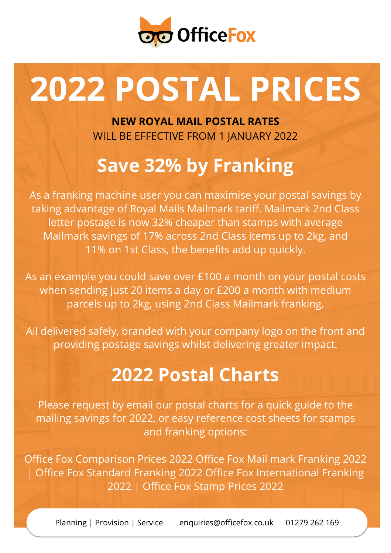

# **2022 POSTAL PRICES**

**NEW ROYAL MAIL POSTAL RATES** WILL BE EFFECTIVE FROM 1 JANUARY 2022

#### **Save 32% by Franking**

As a franking machine user you can maximise your postal savings by taking advantage of Royal Mails Mailmark tariff. Mailmark 2nd Class letter postage is now 32% cheaper than stamps with average Mailmark savings of 17% across 2nd Class items up to 2kg, and 11% on 1st Class, the benefits add up quickly.

As an example you could save over £100 a month on your postal costs when sending just 20 items a day or £200 a month with medium parcels up to 2kg, using 2nd Class Mailmark franking.

All delivered safely, branded with your company logo on the front and providing postage savings whilst delivering greater impact.

#### **2022 Postal Charts**

Please request by email our postal charts for a quick guide to the mailing savings for 2022, or easy reference cost sheets for stamps and franking options:

Office Fox Comparison Prices 2022 Office Fox Mail mark Franking 2022 | Office Fox Standard Franking 2022 Office Fox International Franking 2022 | Office Fox Stamp Prices 2022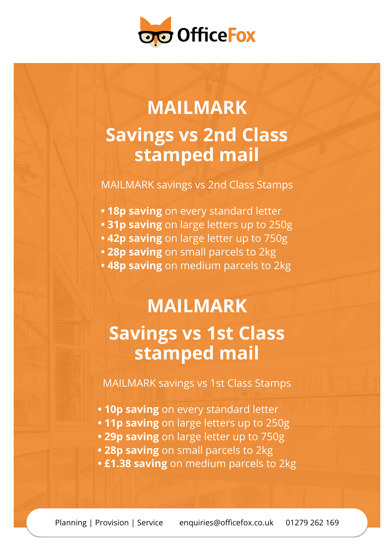

### **MAILMARK Savings vs 2nd Class stamped mail**

MAILMARK savings vs 2nd Class Stamps

- **18p saving** on every standard letter
- **31p saving** on large letters up to 250g
- **42p saving** on large letter up to 750g
- **28p saving** on small parcels to 2kg
- **48p saving** on medium parcels to 2kg

#### **MAILMARK Savings vs 1st Class stamped mail**

MAILMARK savings vs 1st Class Stamps

- **10p saving** on every standard letter
- **11p saving** on large letters up to 250g
- **29p saving** on large letter up to 750g
- **28p saving** on small parcels to 2kg
- **£1.38 saving** on medium parcels to 2kg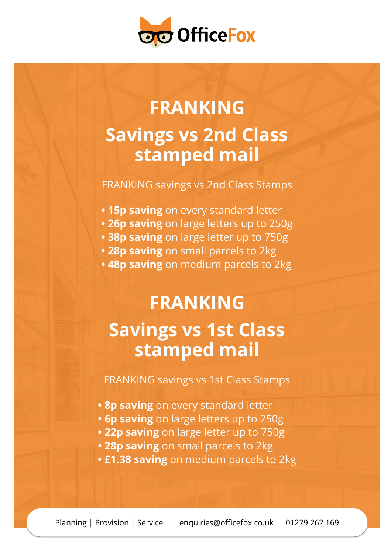

### **FRANKING Savings vs 2nd Class stamped mail**

FRANKING savings vs 2nd Class Stamps

- **15p saving** on every standard letter
- **26p saving** on large letters up to 250g
- **38p saving** on large letter up to 750g
- **28p saving** on small parcels to 2kg
- **48p saving** on medium parcels to 2kg

#### **FRANKING**

#### **Savings vs 1st Class stamped mail**

FRANKING savings vs 1st Class Stamps

- **8p saving** on every standard letter
- **6p saving** on large letters up to 250g
- **22p saving** on large letter up to 750g
- **28p saving** on small parcels to 2kg
- **£1.38 saving** on medium parcels to 2kg